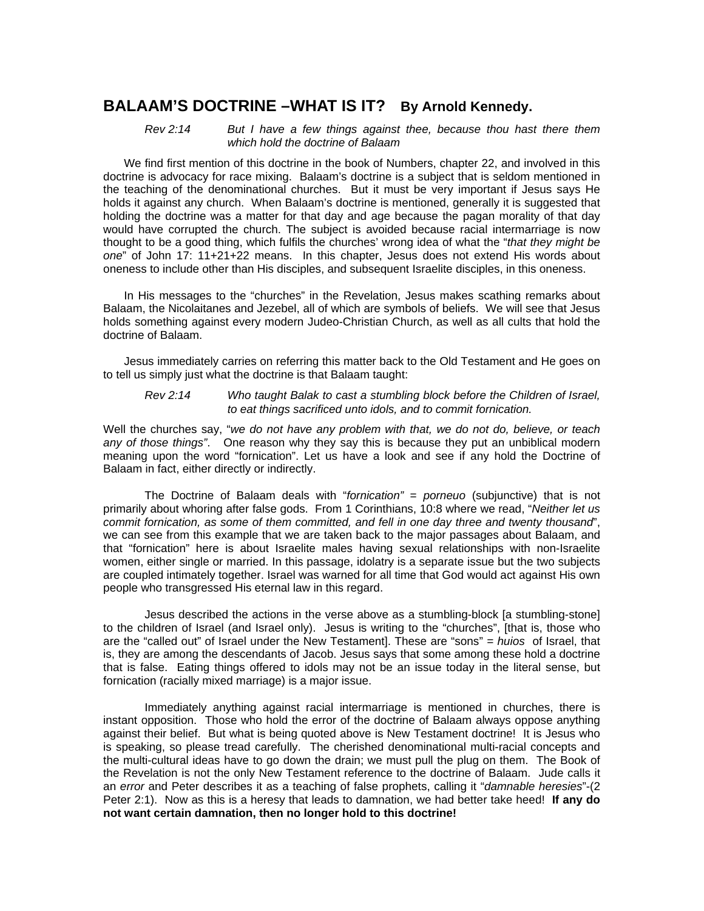# **BALAAM'S DOCTRINE –WHAT IS IT? By Arnold Kennedy.**

#### *Rev 2:14 But I have a few things against thee, because thou hast there them which hold the doctrine of Balaam*

We find first mention of this doctrine in the book of Numbers, chapter 22, and involved in this doctrine is advocacy for race mixing. Balaam's doctrine is a subject that is seldom mentioned in the teaching of the denominational churches. But it must be very important if Jesus says He holds it against any church. When Balaam's doctrine is mentioned, generally it is suggested that holding the doctrine was a matter for that day and age because the pagan morality of that day would have corrupted the church. The subject is avoided because racial intermarriage is now thought to be a good thing, which fulfils the churches' wrong idea of what the "*that they might be one*" of John 17: 11+21+22 means. In this chapter, Jesus does not extend His words about oneness to include other than His disciples, and subsequent Israelite disciples, in this oneness.

In His messages to the "churches" in the Revelation, Jesus makes scathing remarks about Balaam, the Nicolaitanes and Jezebel, all of which are symbols of beliefs. We will see that Jesus holds something against every modern Judeo-Christian Church, as well as all cults that hold the doctrine of Balaam.

Jesus immediately carries on referring this matter back to the Old Testament and He goes on to tell us simply just what the doctrine is that Balaam taught:

*Rev 2:14 Who taught Balak to cast a stumbling block before the Children of Israel, to eat things sacrificed unto idols, and to commit fornication.* 

Well the churches say, "*we do not have any problem with that, we do not do, believe, or teach any of those things"*. One reason why they say this is because they put an unbiblical modern meaning upon the word "fornication". Let us have a look and see if any hold the Doctrine of Balaam in fact, either directly or indirectly.

The Doctrine of Balaam deals with "*fornication"* = *porneuo* (subjunctive) that is not primarily about whoring after false gods. From 1 Corinthians, 10:8 where we read, "*Neither let us commit fornication, as some of them committed, and fell in one day three and twenty thousand*", we can see from this example that we are taken back to the major passages about Balaam, and that "fornication" here is about Israelite males having sexual relationships with non-Israelite women, either single or married. In this passage, idolatry is a separate issue but the two subjects are coupled intimately together. Israel was warned for all time that God would act against His own people who transgressed His eternal law in this regard.

Jesus described the actions in the verse above as a stumbling-block [a stumbling-stone] to the children of Israel (and Israel only). Jesus is writing to the "churches", [that is, those who are the "called out" of Israel under the New Testament]. These are "sons" *= huios* of Israel, that is, they are among the descendants of Jacob. Jesus says that some among these hold a doctrine that is false. Eating things offered to idols may not be an issue today in the literal sense, but fornication (racially mixed marriage) is a major issue.

Immediately anything against racial intermarriage is mentioned in churches, there is instant opposition. Those who hold the error of the doctrine of Balaam always oppose anything against their belief. But what is being quoted above is New Testament doctrine! It is Jesus who is speaking, so please tread carefully. The cherished denominational multi-racial concepts and the multi-cultural ideas have to go down the drain; we must pull the plug on them. The Book of the Revelation is not the only New Testament reference to the doctrine of Balaam. Jude calls it an *error* and Peter describes it as a teaching of false prophets, calling it "*damnable heresies*"-(2 Peter 2:1). Now as this is a heresy that leads to damnation, we had better take heed! **If any do not want certain damnation, then no longer hold to this doctrine!**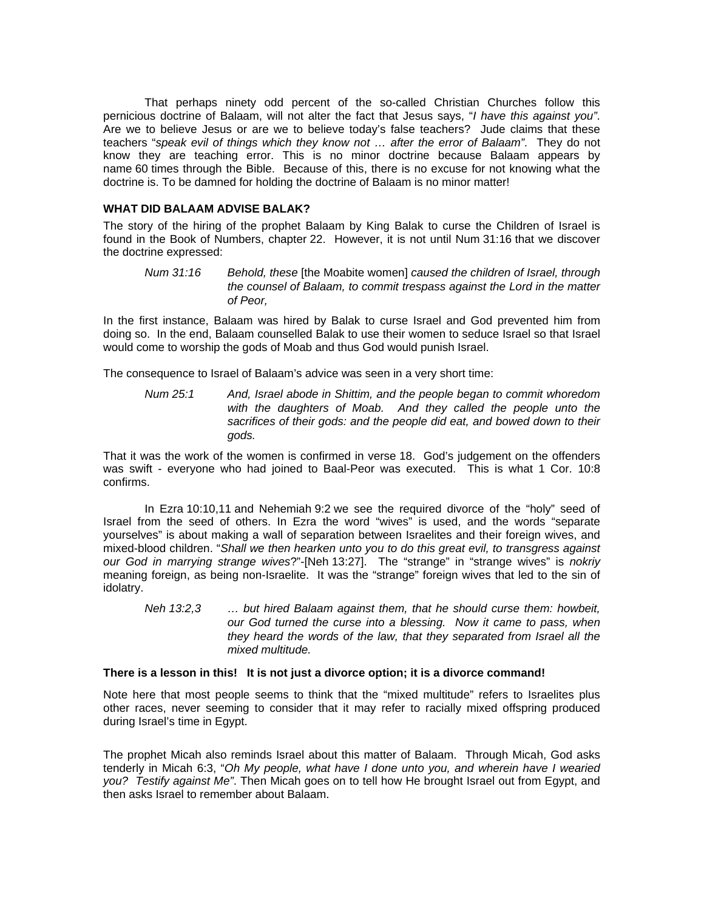That perhaps ninety odd percent of the so-called Christian Churches follow this pernicious doctrine of Balaam, will not alter the fact that Jesus says, "*I have this against you"*. Are we to believe Jesus or are we to believe today's false teachers? Jude claims that these teachers "*speak evil of things which they know not … after the error of Balaam"*. They do not know they are teaching error. This is no minor doctrine because Balaam appears by name 60 times through the Bible. Because of this, there is no excuse for not knowing what the doctrine is. To be damned for holding the doctrine of Balaam is no minor matter!

#### **WHAT DID BALAAM ADVISE BALAK?**

The story of the hiring of the prophet Balaam by King Balak to curse the Children of Israel is found in the Book of Numbers, chapter 22. However, it is not until Num 31:16 that we discover the doctrine expressed:

*Num 31:16 Behold, these* [the Moabite women] *caused the children of Israel, through the counsel of Balaam, to commit trespass against the Lord in the matter of Peor,* 

In the first instance, Balaam was hired by Balak to curse Israel and God prevented him from doing so. In the end, Balaam counselled Balak to use their women to seduce Israel so that Israel would come to worship the gods of Moab and thus God would punish Israel.

The consequence to Israel of Balaam's advice was seen in a very short time:

*Num 25:1 And, Israel abode in Shittim, and the people began to commit whoredom with the daughters of Moab. And they called the people unto the sacrifices of their gods: and the people did eat, and bowed down to their gods.* 

That it was the work of the women is confirmed in verse 18. God's judgement on the offenders was swift - everyone who had joined to Baal-Peor was executed. This is what 1 Cor. 10:8 confirms.

In Ezra 10:10,11 and Nehemiah 9:2 we see the required divorce of the "holy" seed of Israel from the seed of others. In Ezra the word "wives" is used, and the words "separate yourselves" is about making a wall of separation between Israelites and their foreign wives, and mixed-blood children. "*Shall we then hearken unto you to do this great evil, to transgress against our God in marrying strange wives*?"-[Neh 13:27]. The "strange" in "strange wives" is *nokriy* meaning foreign, as being non-Israelite. It was the "strange" foreign wives that led to the sin of idolatry.

*Neh 13:2,3 … but hired Balaam against them, that he should curse them: howbeit, our God turned the curse into a blessing. Now it came to pass, when they heard the words of the law, that they separated from Israel all the mixed multitude.* 

#### **There is a lesson in this! It is not just a divorce option; it is a divorce command!**

Note here that most people seems to think that the "mixed multitude" refers to Israelites plus other races, never seeming to consider that it may refer to racially mixed offspring produced during Israel's time in Egypt.

The prophet Micah also reminds Israel about this matter of Balaam. Through Micah, God asks tenderly in Micah 6:3, "*Oh My people, what have I done unto you, and wherein have I wearied you? Testify against Me"*. Then Micah goes on to tell how He brought Israel out from Egypt, and then asks Israel to remember about Balaam.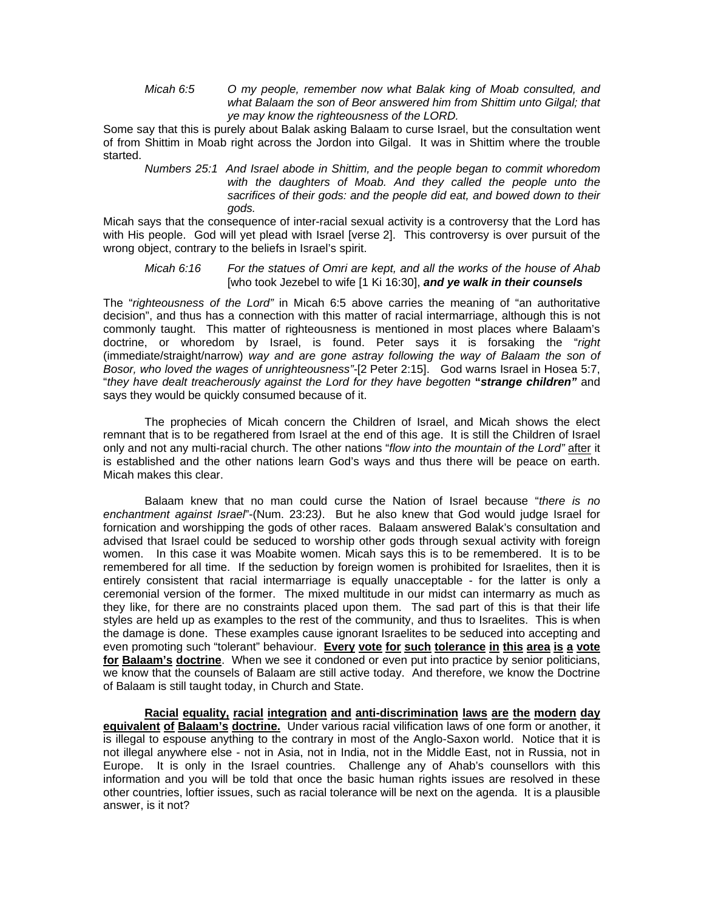*Micah 6:5 O my people, remember now what Balak king of Moab consulted, and what Balaam the son of Beor answered him from Shittim unto Gilgal; that ye may know the righteousness of the LORD.* 

Some say that this is purely about Balak asking Balaam to curse Israel, but the consultation went of from Shittim in Moab right across the Jordon into Gilgal. It was in Shittim where the trouble started.

*Numbers 25:1 And Israel abode in Shittim, and the people began to commit whoredom with the daughters of Moab. And they called the people unto the sacrifices of their gods: and the people did eat, and bowed down to their gods.* 

Micah says that the consequence of inter-racial sexual activity is a controversy that the Lord has with His people. God will yet plead with Israel [verse 2]. This controversy is over pursuit of the wrong object, contrary to the beliefs in Israel's spirit.

#### *Micah 6:16 For the statues of Omri are kept, and all the works of the house of Ahab*  [who took Jezebel to wife [1 Ki 16:30], *and ye walk in their counsels*

The "*righteousness of the Lord"* in Micah 6:5 above carries the meaning of "an authoritative decision", and thus has a connection with this matter of racial intermarriage, although this is not commonly taught. This matter of righteousness is mentioned in most places where Balaam's doctrine, or whoredom by Israel, is found. Peter says it is forsaking the "*right* (immediate/straight/narrow) *way and are gone astray following the way of Balaam the son of Bosor, who loved the wages of unrighteousness"-*[2 Peter 2:15]. God warns Israel in Hosea 5:7, "*they have dealt treacherously against the Lord for they have begotten* **"***strange children"* and says they would be quickly consumed because of it.

The prophecies of Micah concern the Children of Israel, and Micah shows the elect remnant that is to be regathered from Israel at the end of this age. It is still the Children of Israel only and not any multi-racial church. The other nations "*flow into the mountain of the Lord"* after it is established and the other nations learn God's ways and thus there will be peace on earth. Micah makes this clear.

Balaam knew that no man could curse the Nation of Israel because "*there is no enchantment against Israel*"-(Num. 23:23*)*. But he also knew that God would judge Israel for fornication and worshipping the gods of other races. Balaam answered Balak's consultation and advised that Israel could be seduced to worship other gods through sexual activity with foreign women. In this case it was Moabite women. Micah says this is to be remembered. It is to be remembered for all time. If the seduction by foreign women is prohibited for Israelites, then it is entirely consistent that racial intermarriage is equally unacceptable - for the latter is only a ceremonial version of the former. The mixed multitude in our midst can intermarry as much as they like, for there are no constraints placed upon them. The sad part of this is that their life styles are held up as examples to the rest of the community, and thus to Israelites. This is when the damage is done. These examples cause ignorant Israelites to be seduced into accepting and even promoting such "tolerant" behaviour. **Every vote for such tolerance in this area is a vote for Balaam's doctrine**. When we see it condoned or even put into practice by senior politicians, we know that the counsels of Balaam are still active today. And therefore, we know the Doctrine of Balaam is still taught today, in Church and State.

**Racial equality, racial integration and anti-discrimination laws are the modern day equivalent of Balaam's doctrine.** Under various racial vilification laws of one form or another, it is illegal to espouse anything to the contrary in most of the Anglo-Saxon world. Notice that it is not illegal anywhere else - not in Asia, not in India, not in the Middle East, not in Russia, not in Europe. It is only in the Israel countries. Challenge any of Ahab's counsellors with this information and you will be told that once the basic human rights issues are resolved in these other countries, loftier issues, such as racial tolerance will be next on the agenda. It is a plausible answer, is it not?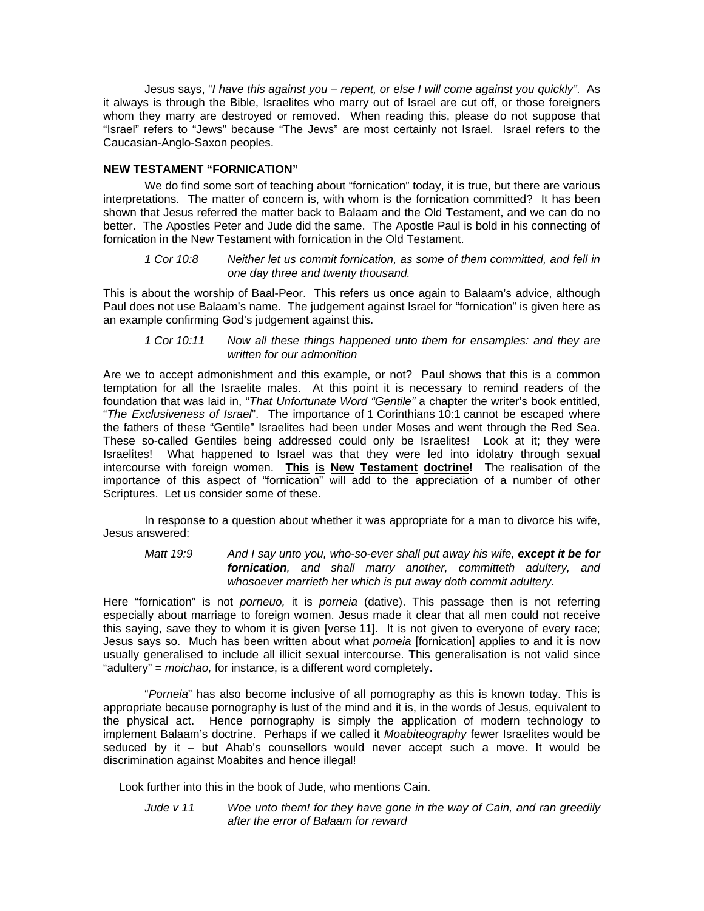Jesus says, "*I have this against you – repent, or else I will come against you quickly"*. As it always is through the Bible, Israelites who marry out of Israel are cut off, or those foreigners whom they marry are destroyed or removed. When reading this, please do not suppose that "Israel" refers to "Jews" because "The Jews" are most certainly not Israel. Israel refers to the Caucasian-Anglo-Saxon peoples.

#### **NEW TESTAMENT "FORNICATION"**

We do find some sort of teaching about "fornication" today, it is true, but there are various interpretations. The matter of concern is, with whom is the fornication committed? It has been shown that Jesus referred the matter back to Balaam and the Old Testament, and we can do no better. The Apostles Peter and Jude did the same. The Apostle Paul is bold in his connecting of fornication in the New Testament with fornication in the Old Testament.

#### *1 Cor 10:8 Neither let us commit fornication, as some of them committed, and fell in one day three and twenty thousand.*

This is about the worship of Baal-Peor. This refers us once again to Balaam's advice, although Paul does not use Balaam's name. The judgement against Israel for "fornication" is given here as an example confirming God's judgement against this.

#### *1 Cor 10:11 Now all these things happened unto them for ensamples: and they are written for our admonition*

Are we to accept admonishment and this example, or not? Paul shows that this is a common temptation for all the Israelite males. At this point it is necessary to remind readers of the foundation that was laid in, "*That Unfortunate Word "Gentile"* a chapter the writer's book entitled, "*The Exclusiveness of Israel*". The importance of 1 Corinthians 10:1 cannot be escaped where the fathers of these "Gentile" Israelites had been under Moses and went through the Red Sea. These so-called Gentiles being addressed could only be Israelites! Look at it; they were Israelites! What happened to Israel was that they were led into idolatry through sexual intercourse with foreign women. **This is New Testament doctrine!** The realisation of the importance of this aspect of "fornication" will add to the appreciation of a number of other Scriptures. Let us consider some of these.

In response to a question about whether it was appropriate for a man to divorce his wife, Jesus answered:

*Matt 19:9 And I say unto you, who-so-ever shall put away his wife, except it be for fornication, and shall marry another, committeth adultery, and whosoever marrieth her which is put away doth commit adultery.* 

Here "fornication" is not *porneuo,* it is *porneia* (dative). This passage then is not referring especially about marriage to foreign women. Jesus made it clear that all men could not receive this saying, save they to whom it is given [verse 11]. It is not given to everyone of every race; Jesus says so. Much has been written about what *porneia* [fornication] applies to and it is now usually generalised to include all illicit sexual intercourse. This generalisation is not valid since "adultery" = *moichao,* for instance, is a different word completely.

"*Porneia*" has also become inclusive of all pornography as this is known today. This is appropriate because pornography is lust of the mind and it is, in the words of Jesus, equivalent to the physical act. Hence pornography is simply the application of modern technology to implement Balaam's doctrine. Perhaps if we called it *Moabiteography* fewer Israelites would be seduced by it – but Ahab's counsellors would never accept such a move. It would be discrimination against Moabites and hence illegal!

Look further into this in the book of Jude, who mentions Cain.

*Jude v 11 Woe unto them! for they have gone in the way of Cain, and ran greedily after the error of Balaam for reward*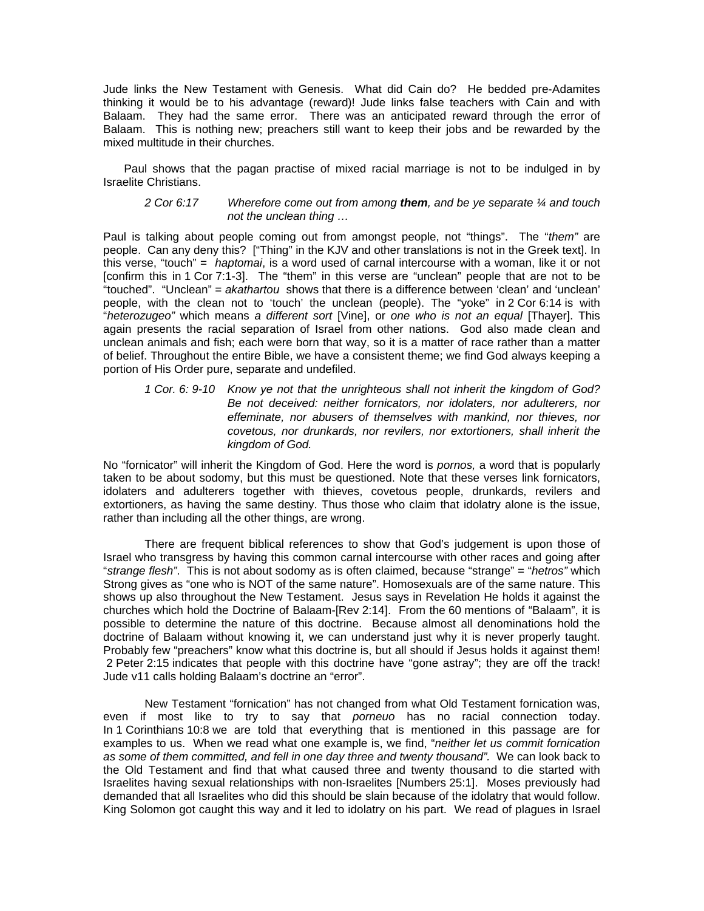Jude links the New Testament with Genesis. What did Cain do? He bedded pre-Adamites thinking it would be to his advantage (reward)! Jude links false teachers with Cain and with Balaam. They had the same error. There was an anticipated reward through the error of Balaam. This is nothing new; preachers still want to keep their jobs and be rewarded by the mixed multitude in their churches.

Paul shows that the pagan practise of mixed racial marriage is not to be indulged in by Israelite Christians.

#### *2 Cor 6:17 Wherefore come out from among them, and be ye separate ¼ and touch not the unclean thing …*

Paul is talking about people coming out from amongst people, not "things". The "*them"* are people. Can any deny this? ["Thing" in the KJV and other translations is not in the Greek text]. In this verse, "touch" = *haptomai*, is a word used of carnal intercourse with a woman, like it or not [confirm this in 1 Cor 7:1-3]. The "them" in this verse are "unclean" people that are not to be "touched". "Unclean" = *akathartou* shows that there is a difference between 'clean' and 'unclean' people, with the clean not to 'touch' the unclean (people). The "yoke" in 2 Cor 6:14 is with "*heterozugeo"* which means *a different sort* [Vine], or *one who is not an equal* [Thayer]. This again presents the racial separation of Israel from other nations. God also made clean and unclean animals and fish; each were born that way, so it is a matter of race rather than a matter of belief. Throughout the entire Bible, we have a consistent theme; we find God always keeping a portion of His Order pure, separate and undefiled.

*1 Cor. 6: 9-10 Know ye not that the unrighteous shall not inherit the kingdom of God? Be not deceived: neither fornicators, nor idolaters, nor adulterers, nor effeminate, nor abusers of themselves with mankind, nor thieves, nor covetous, nor drunkards, nor revilers, nor extortioners, shall inherit the kingdom of God.* 

No "fornicator" will inherit the Kingdom of God. Here the word is *pornos,* a word that is popularly taken to be about sodomy, but this must be questioned. Note that these verses link fornicators, idolaters and adulterers together with thieves, covetous people, drunkards, revilers and extortioners, as having the same destiny. Thus those who claim that idolatry alone is the issue, rather than including all the other things, are wrong.

There are frequent biblical references to show that God's judgement is upon those of Israel who transgress by having this common carnal intercourse with other races and going after "*strange flesh"*. This is not about sodomy as is often claimed, because "strange" = "*hetros"* which Strong gives as "one who is NOT of the same nature". Homosexuals are of the same nature. This shows up also throughout the New Testament. Jesus says in Revelation He holds it against the churches which hold the Doctrine of Balaam-[Rev 2:14]. From the 60 mentions of "Balaam", it is possible to determine the nature of this doctrine. Because almost all denominations hold the doctrine of Balaam without knowing it, we can understand just why it is never properly taught. Probably few "preachers" know what this doctrine is, but all should if Jesus holds it against them! 2 Peter 2:15 indicates that people with this doctrine have "gone astray"; they are off the track! Jude v11 calls holding Balaam's doctrine an "error".

New Testament "fornication" has not changed from what Old Testament fornication was, even if most like to try to say that *porneuo* has no racial connection today. In 1 Corinthians 10:8 we are told that everything that is mentioned in this passage are for examples to us. When we read what one example is, we find, "*neither let us commit fornication as some of them committed, and fell in one day three and twenty thousand".* We can look back to the Old Testament and find that what caused three and twenty thousand to die started with Israelites having sexual relationships with non-Israelites [Numbers 25:1]. Moses previously had demanded that all Israelites who did this should be slain because of the idolatry that would follow. King Solomon got caught this way and it led to idolatry on his part. We read of plagues in Israel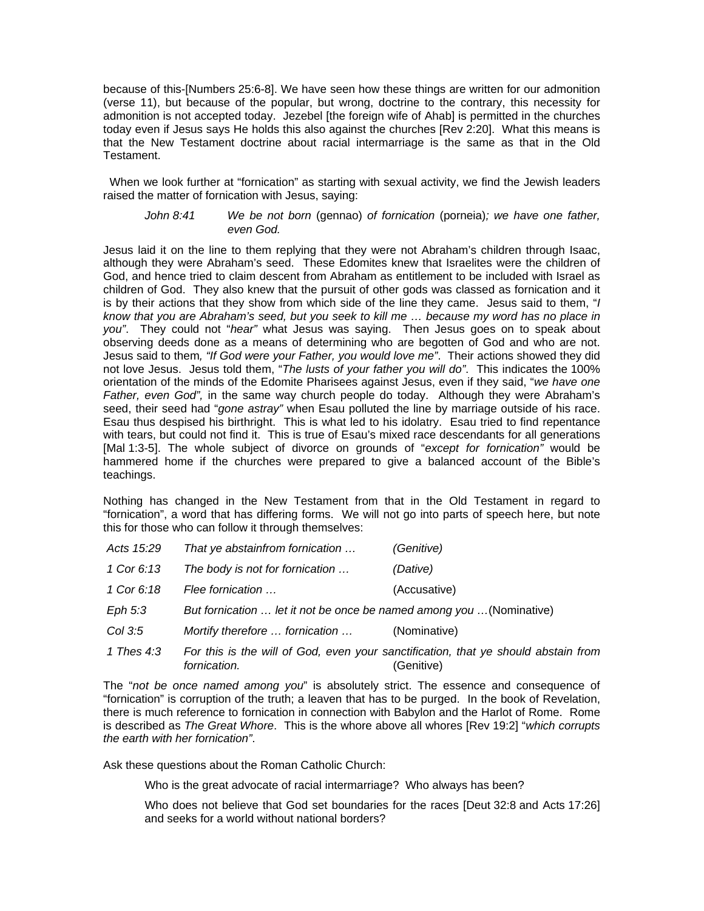because of this-[Numbers 25:6-8]. We have seen how these things are written for our admonition (verse 11), but because of the popular, but wrong, doctrine to the contrary, this necessity for admonition is not accepted today. Jezebel [the foreign wife of Ahab] is permitted in the churches today even if Jesus says He holds this also against the churches [Rev 2:20]. What this means is that the New Testament doctrine about racial intermarriage is the same as that in the Old Testament.

 When we look further at "fornication" as starting with sexual activity, we find the Jewish leaders raised the matter of fornication with Jesus, saying:

*John 8:41 We be not born* (gennao) *of fornication* (porneia)*; we have one father, even God.* 

Jesus laid it on the line to them replying that they were not Abraham's children through Isaac, although they were Abraham's seed. These Edomites knew that Israelites were the children of God, and hence tried to claim descent from Abraham as entitlement to be included with Israel as children of God. They also knew that the pursuit of other gods was classed as fornication and it is by their actions that they show from which side of the line they came. Jesus said to them, "*I know that you are Abraham's seed, but you seek to kill me … because my word has no place in you"*. They could not "*hear"* what Jesus was saying. Then Jesus goes on to speak about observing deeds done as a means of determining who are begotten of God and who are not. Jesus said to them*, "If God were your Father, you would love me"*. Their actions showed they did not love Jesus. Jesus told them, "*The lusts of your father you will do"*. This indicates the 100% orientation of the minds of the Edomite Pharisees against Jesus, even if they said, "*we have one Father, even God",* in the same way church people do today. Although they were Abraham's seed, their seed had "*gone astray"* when Esau polluted the line by marriage outside of his race. Esau thus despised his birthright. This is what led to his idolatry. Esau tried to find repentance with tears, but could not find it. This is true of Esau's mixed race descendants for all generations [Mal 1:3-5]. The whole subject of divorce on grounds of "*except for fornication"* would be hammered home if the churches were prepared to give a balanced account of the Bible's teachings.

Nothing has changed in the New Testament from that in the Old Testament in regard to "fornication", a word that has differing forms. We will not go into parts of speech here, but note this for those who can follow it through themselves:

| Acts 15:29 | That ye abstainfrom fornication                                      | (Genitive)                                                                                       |
|------------|----------------------------------------------------------------------|--------------------------------------------------------------------------------------------------|
| 1 Cor 6:13 | The body is not for fornication                                      | (Dative)                                                                                         |
| 1 Cor 6:18 | Flee fornication                                                     | (Accusative)                                                                                     |
| Eph $5:3$  | But fornication  let it not be once be named among you  (Nominative) |                                                                                                  |
| Col 3:5    | Mortify therefore  fornication                                       | (Nominative)                                                                                     |
| 1 Thes 4:3 | fornication.                                                         | For this is the will of God, even your sanctification, that ye should abstain from<br>(Genitive) |

The "*not be once named among you*" is absolutely strict. The essence and consequence of "fornication" is corruption of the truth; a leaven that has to be purged. In the book of Revelation, there is much reference to fornication in connection with Babylon and the Harlot of Rome. Rome is described as *The Great Whore*. This is the whore above all whores [Rev 19:2] "*which corrupts the earth with her fornication"*.

Ask these questions about the Roman Catholic Church:

Who is the great advocate of racial intermarriage? Who always has been?

Who does not believe that God set boundaries for the races [Deut 32:8 and Acts 17:26] and seeks for a world without national borders?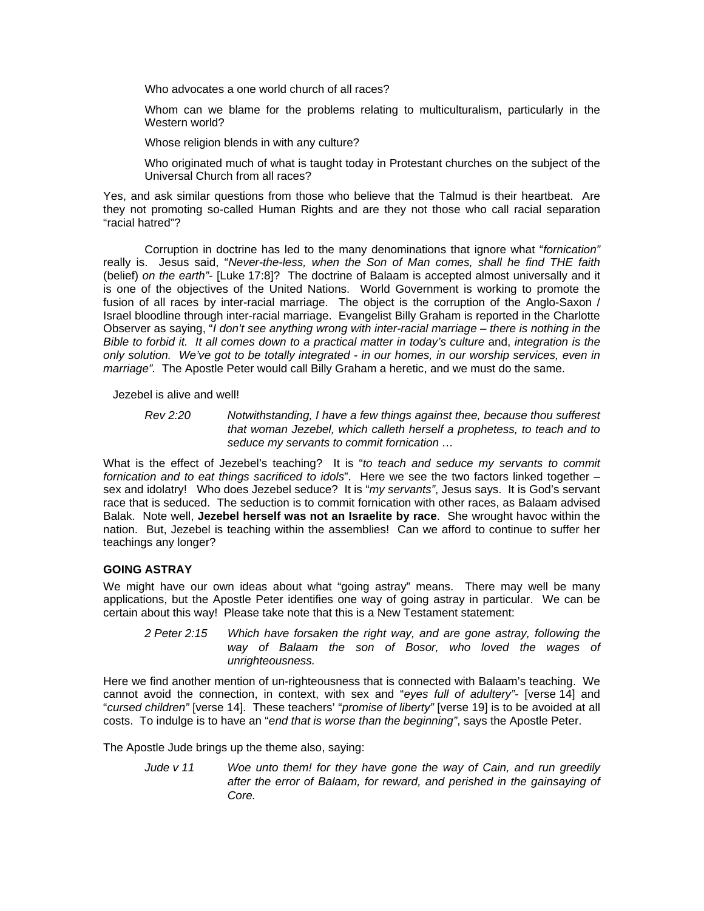Who advocates a one world church of all races?

Whom can we blame for the problems relating to multiculturalism, particularly in the Western world?

Whose religion blends in with any culture?

Who originated much of what is taught today in Protestant churches on the subject of the Universal Church from all races?

Yes, and ask similar questions from those who believe that the Talmud is their heartbeat. Are they not promoting so-called Human Rights and are they not those who call racial separation "racial hatred"?

Corruption in doctrine has led to the many denominations that ignore what "*fornication"* really is. Jesus said, "*Never-the-less, when the Son of Man comes, shall he find THE faith*  (belief) *on the earth"-* [Luke 17:8]? The doctrine of Balaam is accepted almost universally and it is one of the objectives of the United Nations. World Government is working to promote the fusion of all races by inter-racial marriage. The object is the corruption of the Anglo-Saxon / Israel bloodline through inter-racial marriage. Evangelist Billy Graham is reported in the Charlotte Observer as saying, "*I don't see anything wrong with inter-racial marriage – there is nothing in the Bible to forbid it. It all comes down to a practical matter in today's culture* and, *integration is the only solution. We've got to be totally integrated - in our homes, in our worship services, even in marriage".* The Apostle Peter would call Billy Graham a heretic, and we must do the same.

Jezebel is alive and well!

*Rev 2:20 Notwithstanding, I have a few things against thee, because thou sufferest that woman Jezebel, which calleth herself a prophetess, to teach and to seduce my servants to commit fornication …* 

What is the effect of Jezebel's teaching? It is "*to teach and seduce my servants to commit fornication and to eat things sacrificed to idols*". Here we see the two factors linked together – sex and idolatry! Who does Jezebel seduce? It is "*my servants"*, Jesus says. It is God's servant race that is seduced. The seduction is to commit fornication with other races, as Balaam advised Balak. Note well, **Jezebel herself was not an Israelite by race**. She wrought havoc within the nation. But, Jezebel is teaching within the assemblies! Can we afford to continue to suffer her teachings any longer?

### **GOING ASTRAY**

We might have our own ideas about what "going astray" means. There may well be many applications, but the Apostle Peter identifies one way of going astray in particular. We can be certain about this way! Please take note that this is a New Testament statement:

*2 Peter 2:15 Which have forsaken the right way, and are gone astray, following the way of Balaam the son of Bosor, who loved the wages of unrighteousness.* 

Here we find another mention of un-righteousness that is connected with Balaam's teaching. We cannot avoid the connection, in context, with sex and "*eyes full of adultery"-* [verse 14] and "*cursed children"* [verse 14]. These teachers' "*promise of liberty"* [verse 19] is to be avoided at all costs. To indulge is to have an "*end that is worse than the beginning"*, says the Apostle Peter.

The Apostle Jude brings up the theme also, saying:

*Jude v 11 Woe unto them! for they have gone the way of Cain, and run greedily after the error of Balaam, for reward, and perished in the gainsaying of Core.*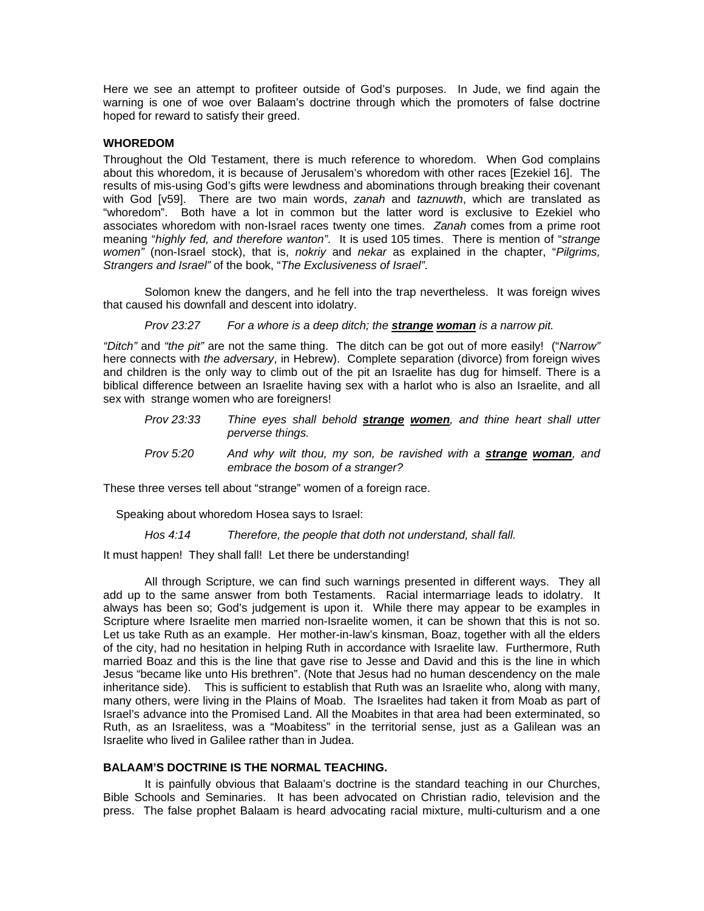Here we see an attempt to profiteer outside of God's purposes. In Jude, we find again the warning is one of woe over Balaam's doctrine through which the promoters of false doctrine hoped for reward to satisfy their greed.

### **WHOREDOM**

Throughout the Old Testament, there is much reference to whoredom. When God complains about this whoredom, it is because of Jerusalem's whoredom with other races [Ezekiel 16]. The results of mis-using God's gifts were lewdness and abominations through breaking their covenant with God [v59]. There are two main words, *zanah* and *taznuwth*, which are translated as "whoredom". Both have a lot in common but the latter word is exclusive to Ezekiel who associates whoredom with non-Israel races twenty one times. *Zanah* comes from a prime root meaning "*highly fed, and therefore wanton"*. It is used 105 times. There is mention of "*strange women"* (non-Israel stock), that is, *nokriy* and *nekar* as explained in the chapter, "*Pilgrims, Strangers and Israel"* of the book, "*The Exclusiveness of Israel"*.

Solomon knew the dangers, and he fell into the trap nevertheless. It was foreign wives that caused his downfall and descent into idolatry.

*Prov 23:27 For a whore is a deep ditch; the strange woman is a narrow pit.* 

*"Ditch"* and *"the pit"* are not the same thing. The ditch can be got out of more easily! ("*Narrow"* here connects with *the adversary*, in Hebrew). Complete separation (divorce) from foreign wives and children is the only way to climb out of the pit an Israelite has dug for himself. There is a biblical difference between an Israelite having sex with a harlot who is also an Israelite, and all sex with strange women who are foreigners!

- *Prov 23:33 Thine eyes shall behold strange women, and thine heart shall utter perverse things.*
- *Prov 5:20* And why wilt thou, my son, be ravished with a **strange woman**, and *embrace the bosom of a stranger?*

These three verses tell about "strange" women of a foreign race.

Speaking about whoredom Hosea says to Israel:

*Hos 4:14 Therefore, the people that doth not understand, shall fall.* 

It must happen! They shall fall! Let there be understanding!

All through Scripture, we can find such warnings presented in different ways. They all add up to the same answer from both Testaments. Racial intermarriage leads to idolatry. It always has been so; God's judgement is upon it. While there may appear to be examples in Scripture where Israelite men married non-Israelite women, it can be shown that this is not so. Let us take Ruth as an example. Her mother-in-law's kinsman, Boaz, together with all the elders of the city, had no hesitation in helping Ruth in accordance with Israelite law. Furthermore, Ruth married Boaz and this is the line that gave rise to Jesse and David and this is the line in which Jesus "became like unto His brethren". (Note that Jesus had no human descendency on the male inheritance side). This is sufficient to establish that Ruth was an Israelite who, along with many, many others, were living in the Plains of Moab. The Israelites had taken it from Moab as part of Israel's advance into the Promised Land. All the Moabites in that area had been exterminated, so Ruth, as an Israelitess, was a "Moabitess" in the territorial sense, just as a Galilean was an Israelite who lived in Galilee rather than in Judea.

# **BALAAM'S DOCTRINE IS THE NORMAL TEACHING.**

It is painfully obvious that Balaam's doctrine is the standard teaching in our Churches, Bible Schools and Seminaries. It has been advocated on Christian radio, television and the press. The false prophet Balaam is heard advocating racial mixture, multi-culturism and a one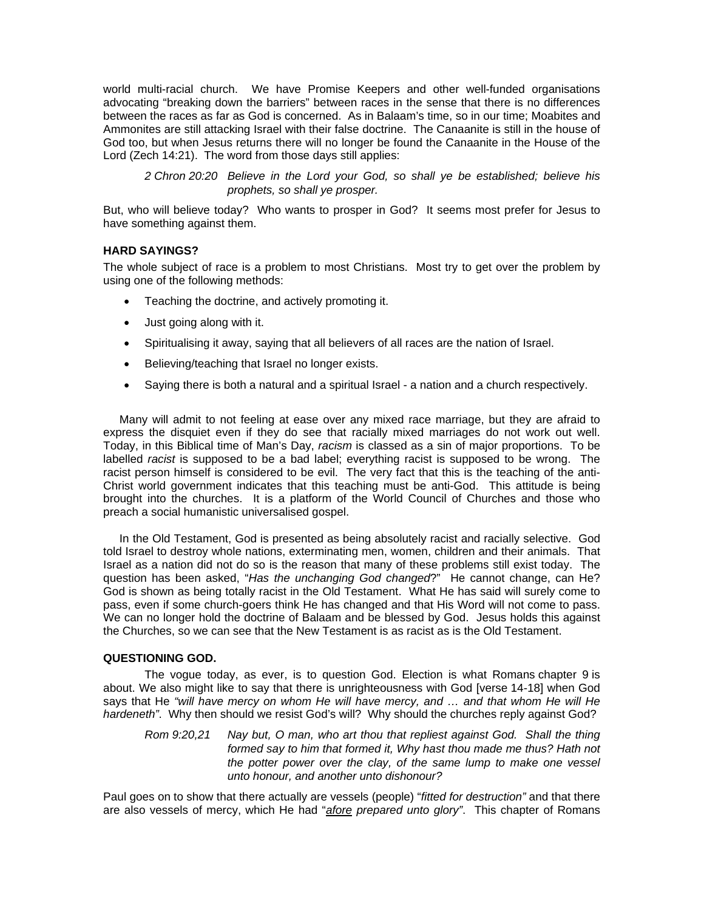world multi-racial church. We have Promise Keepers and other well-funded organisations advocating "breaking down the barriers" between races in the sense that there is no differences between the races as far as God is concerned. As in Balaam's time, so in our time; Moabites and Ammonites are still attacking Israel with their false doctrine. The Canaanite is still in the house of God too, but when Jesus returns there will no longer be found the Canaanite in the House of the Lord (Zech 14:21). The word from those days still applies:

*2 Chron 20:20 Believe in the Lord your God, so shall ye be established; believe his prophets, so shall ye prosper.* 

But, who will believe today? Who wants to prosper in God? It seems most prefer for Jesus to have something against them.

## **HARD SAYINGS?**

The whole subject of race is a problem to most Christians. Most try to get over the problem by using one of the following methods:

- Teaching the doctrine, and actively promoting it.
- Just going along with it.
- Spiritualising it away, saying that all believers of all races are the nation of Israel.
- Believing/teaching that Israel no longer exists.
- Saying there is both a natural and a spiritual Israel a nation and a church respectively.

Many will admit to not feeling at ease over any mixed race marriage, but they are afraid to express the disquiet even if they do see that racially mixed marriages do not work out well. Today, in this Biblical time of Man's Day, *racism* is classed as a sin of major proportions. To be labelled *racist* is supposed to be a bad label; everything racist is supposed to be wrong. The racist person himself is considered to be evil. The very fact that this is the teaching of the anti-Christ world government indicates that this teaching must be anti-God. This attitude is being brought into the churches. It is a platform of the World Council of Churches and those who preach a social humanistic universalised gospel.

In the Old Testament, God is presented as being absolutely racist and racially selective. God told Israel to destroy whole nations, exterminating men, women, children and their animals. That Israel as a nation did not do so is the reason that many of these problems still exist today. The question has been asked, "*Has the unchanging God changed*?" He cannot change, can He? God is shown as being totally racist in the Old Testament. What He has said will surely come to pass, even if some church-goers think He has changed and that His Word will not come to pass. We can no longer hold the doctrine of Balaam and be blessed by God. Jesus holds this against the Churches, so we can see that the New Testament is as racist as is the Old Testament.

#### **QUESTIONING GOD.**

The vogue today, as ever, is to question God. Election is what Romans chapter 9 is about. We also might like to say that there is unrighteousness with God [verse 14-18] when God says that He *"will have mercy on whom He will have mercy, and … and that whom He will He hardeneth"*. Why then should we resist God's will? Why should the churches reply against God?

*Rom 9:20,21 Nay but, O man, who art thou that repliest against God. Shall the thing formed say to him that formed it, Why hast thou made me thus? Hath not the potter power over the clay, of the same lump to make one vessel unto honour, and another unto dishonour?* 

Paul goes on to show that there actually are vessels (people) "*fitted for destruction"* and that there are also vessels of mercy, which He had "*afore prepared unto glory"*. This chapter of Romans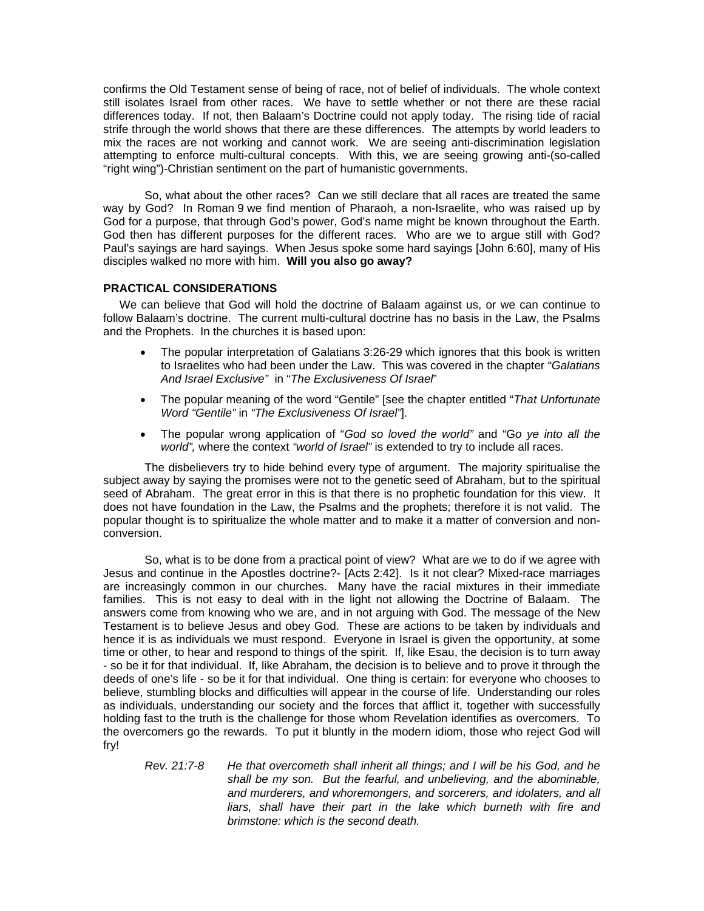confirms the Old Testament sense of being of race, not of belief of individuals. The whole context still isolates Israel from other races. We have to settle whether or not there are these racial differences today. If not, then Balaam's Doctrine could not apply today. The rising tide of racial strife through the world shows that there are these differences. The attempts by world leaders to mix the races are not working and cannot work. We are seeing anti-discrimination legislation attempting to enforce multi-cultural concepts. With this, we are seeing growing anti-(so-called "right wing")-Christian sentiment on the part of humanistic governments.

So, what about the other races? Can we still declare that all races are treated the same way by God? In Roman 9 we find mention of Pharaoh, a non-Israelite, who was raised up by God for a purpose, that through God's power, God's name might be known throughout the Earth. God then has different purposes for the different races. Who are we to argue still with God? Paul's sayings are hard sayings. When Jesus spoke some hard sayings [John 6:60], many of His disciples walked no more with him. **Will you also go away?** 

#### **PRACTICAL CONSIDERATIONS**

We can believe that God will hold the doctrine of Balaam against us, or we can continue to follow Balaam's doctrine. The current multi-cultural doctrine has no basis in the Law, the Psalms and the Prophets. In the churches it is based upon:

- The popular interpretation of Galatians 3:26-29 which ignores that this book is written to Israelites who had been under the Law. This was covered in the chapter "*Galatians And Israel Exclusive"* in "*The Exclusiveness Of Israel*"
- The popular meaning of the word "Gentile" [see the chapter entitled "*That Unfortunate Word "Gentile"* in *"The Exclusiveness Of Israel"*].
- The popular wrong application of "*God so loved the world"* and "G*o ye into all the world",* where the context *"world of Israel"* is extended to try to include all races*.*

The disbelievers try to hide behind every type of argument. The majority spiritualise the subject away by saying the promises were not to the genetic seed of Abraham, but to the spiritual seed of Abraham. The great error in this is that there is no prophetic foundation for this view. It does not have foundation in the Law, the Psalms and the prophets; therefore it is not valid. The popular thought is to spiritualize the whole matter and to make it a matter of conversion and nonconversion.

So, what is to be done from a practical point of view? What are we to do if we agree with Jesus and continue in the Apostles doctrine?- [Acts 2:42]. Is it not clear? Mixed-race marriages are increasingly common in our churches. Many have the racial mixtures in their immediate families. This is not easy to deal with in the light not allowing the Doctrine of Balaam. The answers come from knowing who we are, and in not arguing with God. The message of the New Testament is to believe Jesus and obey God. These are actions to be taken by individuals and hence it is as individuals we must respond. Everyone in Israel is given the opportunity, at some time or other, to hear and respond to things of the spirit. If, like Esau, the decision is to turn away - so be it for that individual. If, like Abraham, the decision is to believe and to prove it through the deeds of one's life - so be it for that individual. One thing is certain: for everyone who chooses to believe, stumbling blocks and difficulties will appear in the course of life. Understanding our roles as individuals, understanding our society and the forces that afflict it, together with successfully holding fast to the truth is the challenge for those whom Revelation identifies as overcomers. To the overcomers go the rewards. To put it bluntly in the modern idiom, those who reject God will fry!

*Rev. 21:7-8 He that overcometh shall inherit all things; and I will be his God, and he shall be my son. But the fearful, and unbelieving, and the abominable, and murderers, and whoremongers, and sorcerers, and idolaters, and all liars, shall have their part in the lake which burneth with fire and brimstone: which is the second death.*